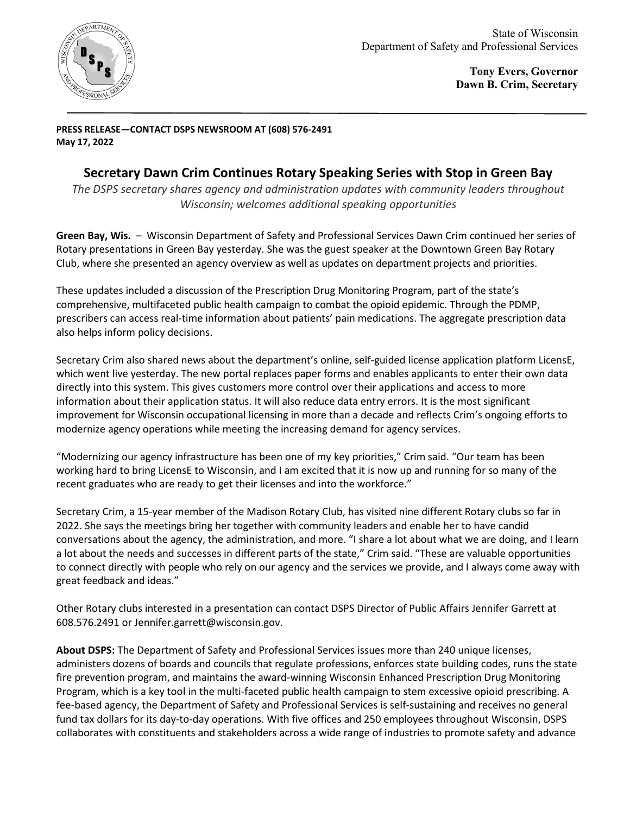

**Tony Evers, Governor Dawn B. Crim, Secretary**

**PRESS RELEASE—CONTACT DSPS NEWSROOM AT (608) 576-2491 May 17, 2022** 

## **Secretary Dawn Crim Continues Rotary Speaking Series with Stop in Green Bay**

*The DSPS secretary shares agency and administration updates with community leaders throughout Wisconsin; welcomes additional speaking opportunities*

**Green Bay, Wis.** – Wisconsin Department of Safety and Professional Services Dawn Crim continued her series of Rotary presentations in Green Bay yesterday. She was the guest speaker at the Downtown Green Bay Rotary Club, where she presented an agency overview as well as updates on department projects and priorities.

These updates included a discussion of the Prescription Drug Monitoring Program, part of the state's comprehensive, multifaceted public health campaign to combat the opioid epidemic. Through the PDMP, prescribers can access real-time information about patients' pain medications. The aggregate prescription data also helps inform policy decisions.

Secretary Crim also shared news about the department's online, self-guided license application platform LicensE, which went live yesterday. The new portal replaces paper forms and enables applicants to enter their own data directly into this system. This gives customers more control over their applications and access to more information about their application status. It will also reduce data entry errors. It is the most significant improvement for Wisconsin occupational licensing in more than a decade and reflects Crim's ongoing efforts to modernize agency operations while meeting the increasing demand for agency services.

"Modernizing our agency infrastructure has been one of my key priorities," Crim said. "Our team has been working hard to bring LicensE to Wisconsin, and I am excited that it is now up and running for so many of the recent graduates who are ready to get their licenses and into the workforce."

Secretary Crim, a 15-year member of the Madison Rotary Club, has visited nine different Rotary clubs so far in 2022. She says the meetings bring her together with community leaders and enable her to have candid conversations about the agency, the administration, and more. "I share a lot about what we are doing, and I learn a lot about the needs and successes in different parts of the state," Crim said. "These are valuable opportunities to connect directly with people who rely on our agency and the services we provide, and I always come away with great feedback and ideas."

Other Rotary clubs interested in a presentation can contact DSPS Director of Public Affairs Jennifer Garrett at 608.576.2491 o[r Jennifer.garrett@wisconsin.gov.](mailto:Jennifer.garrett@wisconsin.gov)

**About DSPS:** The Department of Safety and Professional Services issues more than 240 unique licenses, administers dozens of boards and councils that regulate professions, enforces state building codes, runs the state fire prevention program, and maintains the award-winning Wisconsin Enhanced Prescription Drug Monitoring Program, which is a key tool in the multi-faceted public health campaign to stem excessive opioid prescribing. A fee-based agency, the Department of Safety and Professional Services is self-sustaining and receives no general fund tax dollars for its day-to-day operations. With five offices and 250 employees throughout Wisconsin, DSPS collaborates with constituents and stakeholders across a wide range of industries to promote safety and advance